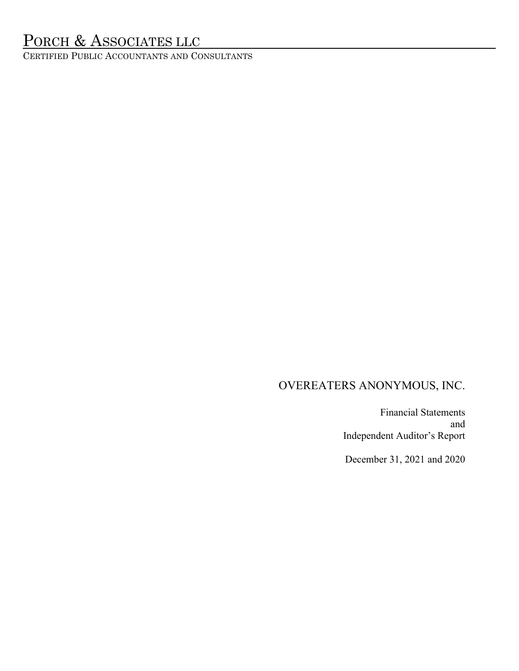# PORCH & ASSOCIATES LLC CERTIFIED PUBLIC ACCOUNTANTS AND CONSULTANTS

### OVEREATERS ANONYMOUS, INC.

Financial Statements and Independent Auditor's Report

December 31, 2021 and 2020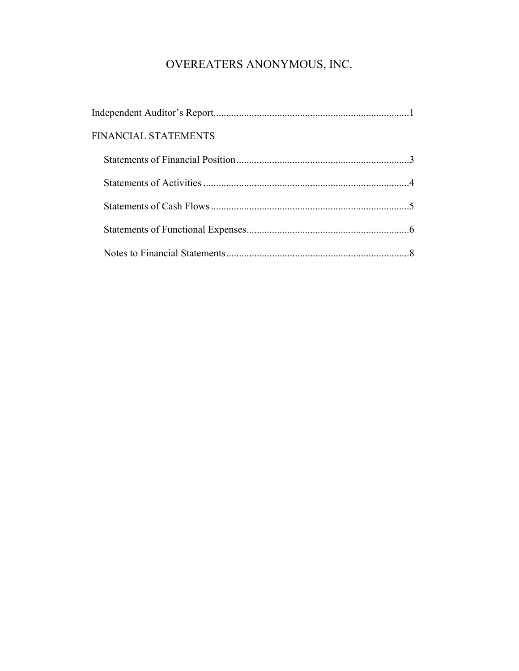### OVEREATERS ANONYMOUS, INC.

| FINANCIAL STATEMENTS |  |
|----------------------|--|
|                      |  |
|                      |  |
|                      |  |
|                      |  |
|                      |  |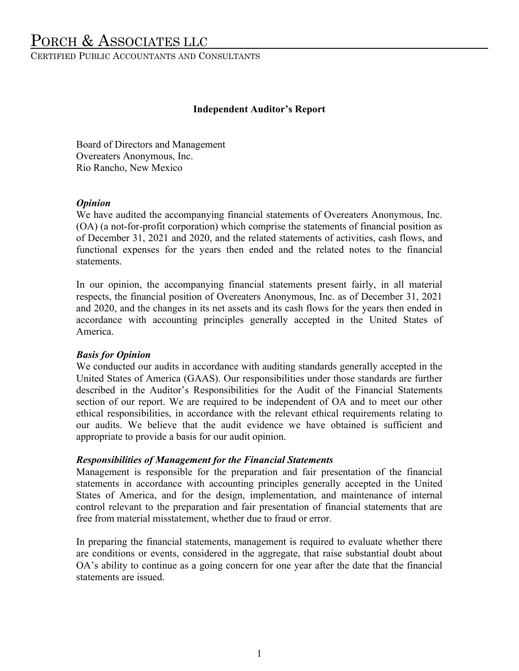## $\frac{\text{PORCH}}{\text{CERTIFIED} \text{PUBLIC} \text{ACCOUNTANTS AND CONSULTANTS}}$

#### **Independent Auditor's Report**

Board of Directors and Management Overeaters Anonymous, Inc. Rio Rancho, New Mexico

#### *Opinion*

We have audited the accompanying financial statements of Overeaters Anonymous, Inc. (OA) (a not-for-profit corporation) which comprise the statements of financial position as of December 31, 2021 and 2020, and the related statements of activities, cash flows, and functional expenses for the years then ended and the related notes to the financial statements.

In our opinion, the accompanying financial statements present fairly, in all material respects, the financial position of Overeaters Anonymous, Inc. as of December 31, 2021 and 2020, and the changes in its net assets and its cash flows for the years then ended in accordance with accounting principles generally accepted in the United States of America.

#### *Basis for Opinion*

We conducted our audits in accordance with auditing standards generally accepted in the United States of America (GAAS). Our responsibilities under those standards are further described in the Auditor's Responsibilities for the Audit of the Financial Statements section of our report. We are required to be independent of OA and to meet our other ethical responsibilities, in accordance with the relevant ethical requirements relating to our audits. We believe that the audit evidence we have obtained is sufficient and appropriate to provide a basis for our audit opinion.

#### *Responsibilities of Management for the Financial Statements*

Management is responsible for the preparation and fair presentation of the financial statements in accordance with accounting principles generally accepted in the United States of America, and for the design, implementation, and maintenance of internal control relevant to the preparation and fair presentation of financial statements that are free from material misstatement, whether due to fraud or error.

In preparing the financial statements, management is required to evaluate whether there are conditions or events, considered in the aggregate, that raise substantial doubt about OA's ability to continue as a going concern for one year after the date that the financial statements are issued.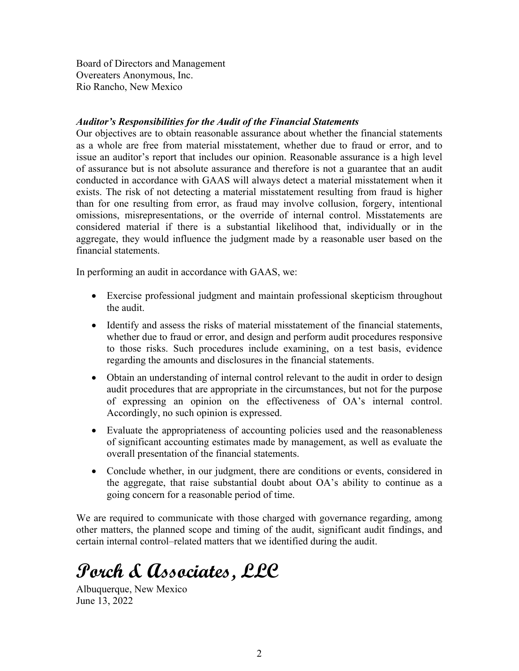Board of Directors and Management Overeaters Anonymous, Inc. Rio Rancho, New Mexico

#### *Auditor's Responsibilities for the Audit of the Financial Statements*

Our objectives are to obtain reasonable assurance about whether the financial statements as a whole are free from material misstatement, whether due to fraud or error, and to issue an auditor's report that includes our opinion. Reasonable assurance is a high level of assurance but is not absolute assurance and therefore is not a guarantee that an audit conducted in accordance with GAAS will always detect a material misstatement when it exists. The risk of not detecting a material misstatement resulting from fraud is higher than for one resulting from error, as fraud may involve collusion, forgery, intentional omissions, misrepresentations, or the override of internal control. Misstatements are considered material if there is a substantial likelihood that, individually or in the aggregate, they would influence the judgment made by a reasonable user based on the financial statements.

In performing an audit in accordance with GAAS, we:

- Exercise professional judgment and maintain professional skepticism throughout the audit.
- Identify and assess the risks of material misstatement of the financial statements, whether due to fraud or error, and design and perform audit procedures responsive to those risks. Such procedures include examining, on a test basis, evidence regarding the amounts and disclosures in the financial statements.
- Obtain an understanding of internal control relevant to the audit in order to design audit procedures that are appropriate in the circumstances, but not for the purpose of expressing an opinion on the effectiveness of OA's internal control. Accordingly, no such opinion is expressed.
- Evaluate the appropriateness of accounting policies used and the reasonableness of significant accounting estimates made by management, as well as evaluate the overall presentation of the financial statements.
- Conclude whether, in our judgment, there are conditions or events, considered in the aggregate, that raise substantial doubt about OA's ability to continue as a going concern for a reasonable period of time.

We are required to communicate with those charged with governance regarding, among other matters, the planned scope and timing of the audit, significant audit findings, and certain internal control–related matters that we identified during the audit.

## **Porch & Associates, LLC**

Albuquerque, New Mexico June 13, 2022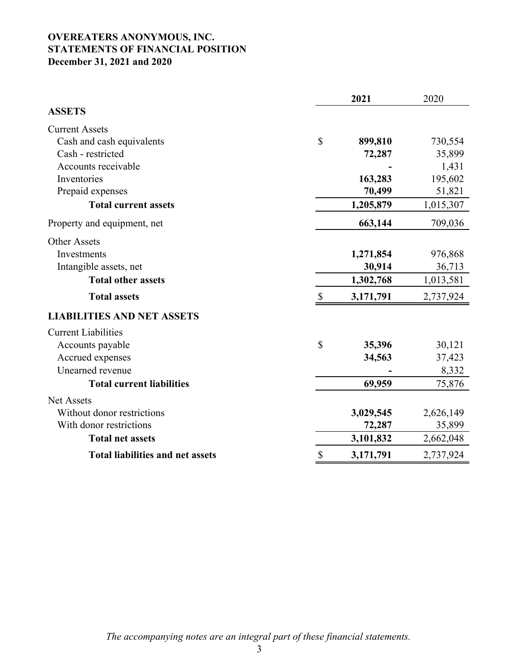#### **OVEREATERS ANONYMOUS, INC. STATEMENTS OF FINANCIAL POSITION December 31, 2021 and 2020**

|                                         |               | 2021      | 2020      |
|-----------------------------------------|---------------|-----------|-----------|
| <b>ASSETS</b>                           |               |           |           |
| <b>Current Assets</b>                   |               |           |           |
| Cash and cash equivalents               | $\mathsf{\$}$ | 899,810   | 730,554   |
| Cash - restricted                       |               | 72,287    | 35,899    |
| Accounts receivable                     |               |           | 1,431     |
| Inventories                             |               | 163,283   | 195,602   |
| Prepaid expenses                        |               | 70,499    | 51,821    |
| <b>Total current assets</b>             |               | 1,205,879 | 1,015,307 |
| Property and equipment, net             |               | 663,144   | 709,036   |
| <b>Other Assets</b>                     |               |           |           |
| Investments                             |               | 1,271,854 | 976,868   |
| Intangible assets, net                  |               | 30,914    | 36,713    |
| <b>Total other assets</b>               |               | 1,302,768 | 1,013,581 |
| <b>Total assets</b>                     | \$            | 3,171,791 | 2,737,924 |
| <b>LIABILITIES AND NET ASSETS</b>       |               |           |           |
| <b>Current Liabilities</b>              |               |           |           |
| Accounts payable                        | \$            | 35,396    | 30,121    |
| Accrued expenses                        |               | 34,563    | 37,423    |
| Unearned revenue                        |               |           | 8,332     |
| <b>Total current liabilities</b>        |               | 69,959    | 75,876    |
| Net Assets                              |               |           |           |
| Without donor restrictions              |               | 3,029,545 | 2,626,149 |
| With donor restrictions                 |               | 72,287    | 35,899    |
| <b>Total net assets</b>                 |               | 3,101,832 | 2,662,048 |
| <b>Total liabilities and net assets</b> | \$            | 3,171,791 | 2,737,924 |

*The accompanying notes are an integral part of these financial statements.*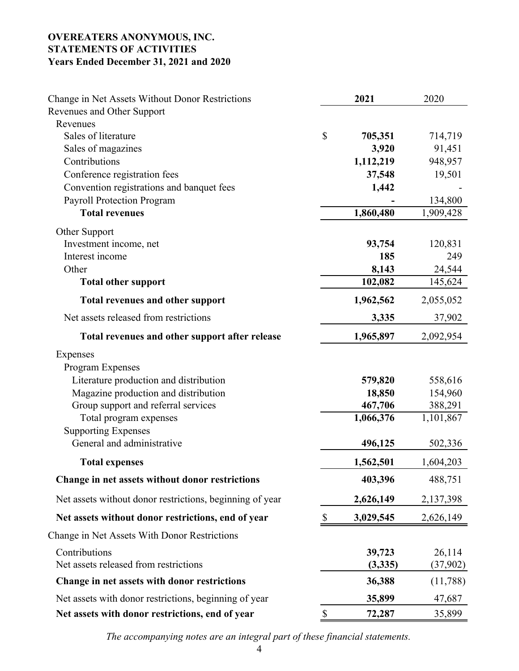#### **OVEREATERS ANONYMOUS, INC. STATEMENTS OF ACTIVITIES Years Ended December 31, 2021 and 2020**

| Change in Net Assets Without Donor Restrictions          |                           | 2021      | 2020      |
|----------------------------------------------------------|---------------------------|-----------|-----------|
| Revenues and Other Support                               |                           |           |           |
| Revenues                                                 |                           |           |           |
| Sales of literature                                      | \$                        | 705,351   | 714,719   |
| Sales of magazines                                       |                           | 3,920     | 91,451    |
| Contributions                                            |                           | 1,112,219 | 948,957   |
| Conference registration fees                             |                           | 37,548    | 19,501    |
| Convention registrations and banquet fees                |                           | 1,442     |           |
| <b>Payroll Protection Program</b>                        |                           |           | 134,800   |
| <b>Total revenues</b>                                    |                           | 1,860,480 | 1,909,428 |
| Other Support                                            |                           |           |           |
| Investment income, net                                   |                           | 93,754    | 120,831   |
| Interest income                                          |                           | 185       | 249       |
| Other                                                    |                           | 8,143     | 24,544    |
| <b>Total other support</b>                               |                           | 102,082   | 145,624   |
| <b>Total revenues and other support</b>                  |                           | 1,962,562 | 2,055,052 |
| Net assets released from restrictions                    |                           | 3,335     | 37,902    |
| Total revenues and other support after release           |                           | 1,965,897 | 2,092,954 |
| Expenses                                                 |                           |           |           |
| Program Expenses                                         |                           |           |           |
| Literature production and distribution                   |                           | 579,820   | 558,616   |
| Magazine production and distribution                     |                           | 18,850    | 154,960   |
| Group support and referral services                      |                           | 467,706   | 388,291   |
| Total program expenses                                   |                           | 1,066,376 | 1,101,867 |
| <b>Supporting Expenses</b>                               |                           |           |           |
| General and administrative                               |                           | 496,125   | 502,336   |
| <b>Total expenses</b>                                    |                           | 1,562,501 | 1,604,203 |
| Change in net assets without donor restrictions          |                           | 403,396   | 488,751   |
| Net assets without donor restrictions, beginning of year |                           | 2,626,149 | 2,137,398 |
| Net assets without donor restrictions, end of year       | $\boldsymbol{\mathsf{S}}$ | 3,029,545 | 2,626,149 |
| Change in Net Assets With Donor Restrictions             |                           |           |           |
| Contributions                                            |                           | 39,723    | 26,114    |
| Net assets released from restrictions                    |                           | (3,335)   | (37, 902) |
| Change in net assets with donor restrictions             |                           | 36,388    | (11,788)  |
| Net assets with donor restrictions, beginning of year    |                           | 35,899    | 47,687    |
| Net assets with donor restrictions, end of year          | \$                        | 72,287    | 35,899    |

*The accompanying notes are an integral part of these financial statements.*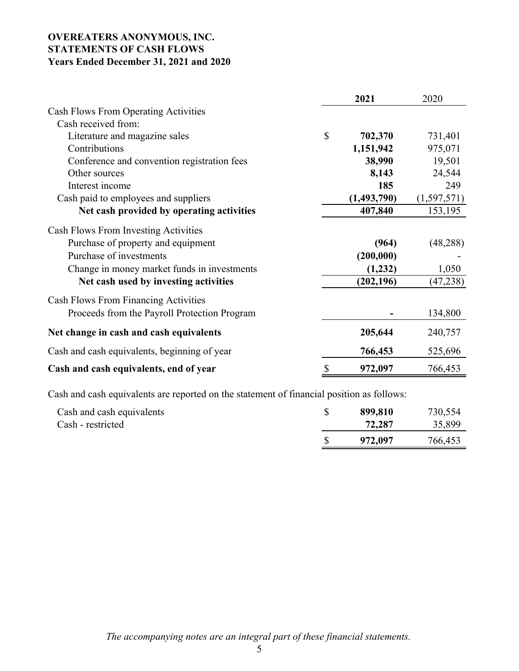#### **OVEREATERS ANONYMOUS, INC. STATEMENTS OF CASH FLOWS Years Ended December 31, 2021 and 2020**

|                                              |              | 2021        | 2020        |
|----------------------------------------------|--------------|-------------|-------------|
| Cash Flows From Operating Activities         |              |             |             |
| Cash received from:                          |              |             |             |
| Literature and magazine sales                | $\mathbb{S}$ | 702,370     | 731,401     |
| Contributions                                |              | 1,151,942   | 975,071     |
| Conference and convention registration fees  |              | 38,990      | 19,501      |
| Other sources                                |              | 8,143       | 24,544      |
| Interest income                              |              | 185         | 249         |
| Cash paid to employees and suppliers         |              | (1,493,790) | (1,597,571) |
| Net cash provided by operating activities    |              | 407,840     | 153,195     |
| Cash Flows From Investing Activities         |              |             |             |
| Purchase of property and equipment           |              | (964)       | (48, 288)   |
| Purchase of investments                      |              | (200,000)   |             |
| Change in money market funds in investments  |              | (1,232)     | 1,050       |
| Net cash used by investing activities        |              | (202, 196)  | (47, 238)   |
| <b>Cash Flows From Financing Activities</b>  |              |             |             |
| Proceeds from the Payroll Protection Program |              |             | 134,800     |
| Net change in cash and cash equivalents      |              | 205,644     | 240,757     |
| Cash and cash equivalents, beginning of year |              | 766,453     | 525,696     |
| Cash and cash equivalents, end of year       |              | 972,097     | 766,453     |

Cash and cash equivalents are reported on the statement of financial position as follows:

| Cash and cash equivalents | 899,810 | 730,554 |
|---------------------------|---------|---------|
| Cash - restricted         | 72,287  | 35,899  |
|                           | 972,097 | 766,453 |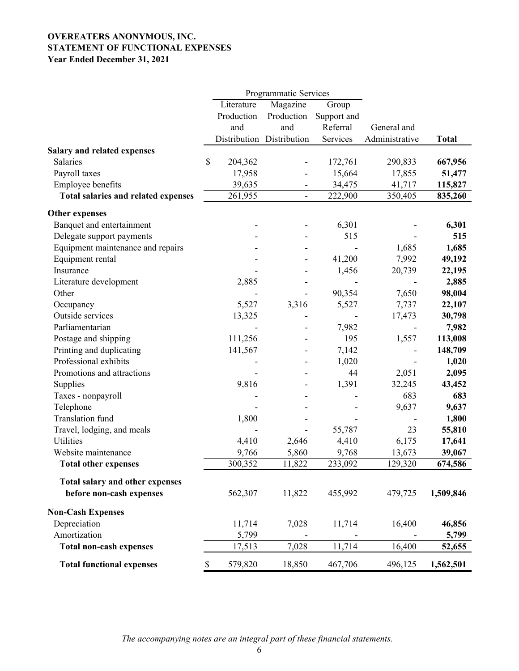#### **OVEREATERS ANONYMOUS, INC. STATEMENT OF FUNCTIONAL EXPENSES Year Ended December 31, 2021**

|                                            |               | Programmatic Services     |             |                |              |
|--------------------------------------------|---------------|---------------------------|-------------|----------------|--------------|
|                                            | Literature    | Magazine                  | Group       |                |              |
|                                            | Production    | Production                | Support and |                |              |
|                                            | and           | and                       | Referral    | General and    |              |
|                                            |               | Distribution Distribution | Services    | Administrative | <b>Total</b> |
| Salary and related expenses                |               |                           |             |                |              |
| Salaries                                   | \$<br>204,362 |                           | 172,761     | 290,833        | 667,956      |
| Payroll taxes                              | 17,958        |                           | 15,664      | 17,855         | 51,477       |
| Employee benefits                          | 39,635        |                           | 34,475      | 41,717         | 115,827      |
| <b>Total salaries and related expenses</b> | 261,955       |                           | 222,900     | 350,405        | 835,260      |
| <b>Other expenses</b>                      |               |                           |             |                |              |
| Banquet and entertainment                  |               |                           | 6,301       |                | 6,301        |
| Delegate support payments                  |               |                           | 515         |                | 515          |
| Equipment maintenance and repairs          |               |                           |             | 1,685          | 1,685        |
| Equipment rental                           |               |                           | 41,200      | 7,992          | 49,192       |
| Insurance                                  |               |                           | 1,456       | 20,739         | 22,195       |
| Literature development                     | 2,885         |                           |             |                | 2,885        |
| Other                                      |               |                           | 90,354      | 7,650          | 98,004       |
| Occupancy                                  | 5,527         | 3,316                     | 5,527       | 7,737          | 22,107       |
| Outside services                           | 13,325        |                           |             | 17,473         | 30,798       |
| Parliamentarian                            |               |                           | 7,982       |                | 7,982        |
| Postage and shipping                       | 111,256       |                           | 195         | 1,557          | 113,008      |
| Printing and duplicating                   | 141,567       |                           | 7,142       |                | 148,709      |
| Professional exhibits                      |               |                           | 1,020       |                | 1,020        |
| Promotions and attractions                 |               |                           | 44          | 2,051          | 2,095        |
| Supplies                                   | 9,816         |                           | 1,391       | 32,245         | 43,452       |
| Taxes - nonpayroll                         |               |                           |             | 683            | 683          |
| Telephone                                  |               |                           |             | 9,637          | 9,637        |
| Translation fund                           | 1,800         |                           |             |                | 1,800        |
| Travel, lodging, and meals                 |               |                           | 55,787      | 23             | 55,810       |
| Utilities                                  | 4,410         | 2,646                     | 4,410       | 6,175          | 17,641       |
| Website maintenance                        | 9,766         | 5,860                     | 9,768       | 13,673         | 39,067       |
| <b>Total other expenses</b>                | 300,352       | 11,822                    | 233,092     | 129,320        | 674,586      |
| <b>Total salary and other expenses</b>     |               |                           |             |                |              |
| before non-cash expenses                   | 562,307       | 11,822                    | 455,992     | 479,725        | 1,509,846    |
|                                            |               |                           |             |                |              |
| <b>Non-Cash Expenses</b>                   |               |                           |             |                |              |
| Depreciation                               | 11,714        | 7,028                     | 11,714      | 16,400         | 46,856       |
| Amortization                               | 5,799         |                           |             |                | 5,799        |
| <b>Total non-cash expenses</b>             | 17,513        | 7,028                     | 11,714      | 16,400         | 52,655       |
| <b>Total functional expenses</b>           | \$<br>579,820 | 18,850                    | 467,706     | 496,125        | 1,562,501    |

*The accompanying notes are an integral part of these financial statements.*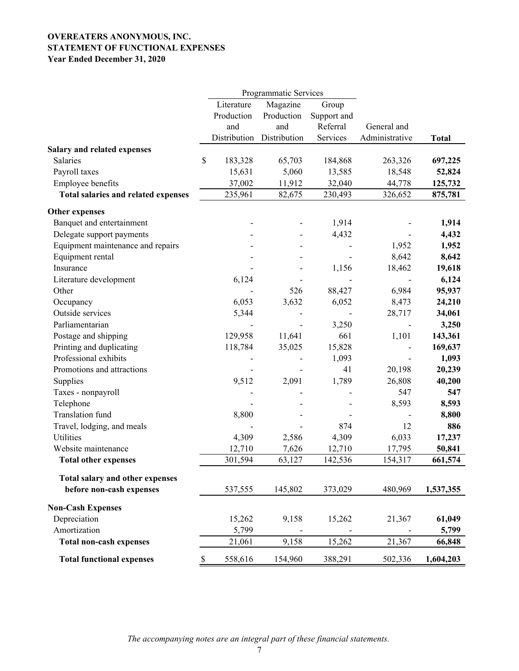#### **OVEREATERS ANONYMOUS, INC. STATEMENT OF FUNCTIONAL EXPENSES Year Ended December 31, 2020**

|                                        |               | Programmatic Services     |             |                          |              |
|----------------------------------------|---------------|---------------------------|-------------|--------------------------|--------------|
|                                        | Literature    | Magazine                  | Group       |                          |              |
|                                        | Production    | Production                | Support and |                          |              |
|                                        | and           | and                       | Referral    | General and              |              |
|                                        |               | Distribution Distribution | Services    | Administrative           | <b>Total</b> |
| Salary and related expenses            |               |                           |             |                          |              |
| Salaries                               | \$<br>183,328 | 65,703                    | 184,868     | 263,326                  | 697,225      |
| Payroll taxes                          | 15,631        | 5,060                     | 13,585      | 18,548                   | 52,824       |
| Employee benefits                      | 37,002        | 11,912                    | 32,040      | 44,778                   | 125,732      |
| Total salaries and related expenses    | 235,961       | 82,675                    | 230,493     | 326,652                  | 875,781      |
| <b>Other expenses</b>                  |               |                           |             |                          |              |
| Banquet and entertainment              |               |                           | 1,914       |                          | 1,914        |
| Delegate support payments              |               |                           | 4,432       |                          | 4,432        |
| Equipment maintenance and repairs      |               |                           |             | 1,952                    | 1,952        |
| Equipment rental                       |               |                           |             | 8,642                    | 8,642        |
| Insurance                              |               |                           | 1,156       | 18,462                   | 19,618       |
| Literature development                 | 6,124         |                           |             |                          | 6,124        |
| Other                                  |               | 526                       | 88,427      | 6,984                    | 95,937       |
| Occupancy                              | 6,053         | 3,632                     | 6,052       | 8,473                    | 24,210       |
| Outside services                       | 5,344         |                           |             | 28,717                   | 34,061       |
| Parliamentarian                        |               |                           | 3,250       |                          | 3,250        |
| Postage and shipping                   | 129,958       | 11,641                    | 661         | 1,101                    | 143,361      |
| Printing and duplicating               | 118,784       | 35,025                    | 15,828      |                          | 169,637      |
| Professional exhibits                  |               |                           | 1,093       |                          | 1,093        |
| Promotions and attractions             |               |                           | 41          | 20,198                   | 20,239       |
| Supplies                               | 9,512         | 2,091                     | 1,789       | 26,808                   | 40,200       |
| Taxes - nonpayroll                     |               |                           |             | 547                      | 547          |
| Telephone                              |               |                           |             | 8,593                    | 8,593        |
| Translation fund                       | 8,800         |                           |             | $\overline{\phantom{a}}$ | 8,800        |
| Travel, lodging, and meals             |               |                           | 874         | 12                       | 886          |
| <b>Utilities</b>                       | 4,309         | 2,586                     | 4,309       | 6,033                    | 17,237       |
| Website maintenance                    | 12,710        | 7,626                     | 12,710      | 17,795                   | 50,841       |
| <b>Total other expenses</b>            | 301,594       | 63,127                    | 142,536     | 154,317                  | 661,574      |
| <b>Total salary and other expenses</b> |               |                           |             |                          |              |
| before non-cash expenses               | 537,555       | 145,802                   | 373,029     | 480,969                  | 1,537,355    |
|                                        |               |                           |             |                          |              |
| <b>Non-Cash Expenses</b>               |               |                           |             |                          |              |
| Depreciation                           | 15,262        | 9,158                     | 15,262      | 21,367                   | 61,049       |
| Amortization                           | 5,799         |                           |             |                          | 5,799        |
| <b>Total non-cash expenses</b>         | 21,061        | 9,158                     | 15,262      | 21,367                   | 66,848       |
| <b>Total functional expenses</b>       | \$<br>558,616 | 154,960                   | 388,291     | 502,336                  | 1,604,203    |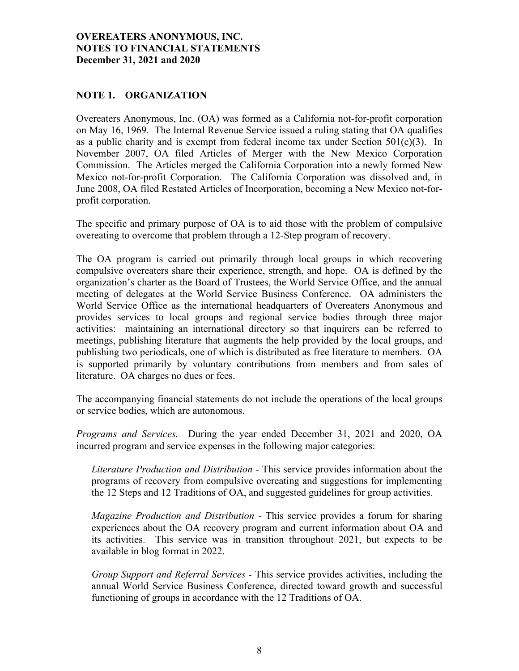#### **OVEREATERS ANONYMOUS, INC. NOTES TO FINANCIAL STATEMENTS December 31, 2021 and 2020**

#### **NOTE 1. ORGANIZATION**

Overeaters Anonymous, Inc. (OA) was formed as a California not-for-profit corporation on May 16, 1969. The Internal Revenue Service issued a ruling stating that OA qualifies as a public charity and is exempt from federal income tax under Section  $501(c)(3)$ . In November 2007, OA filed Articles of Merger with the New Mexico Corporation Commission. The Articles merged the California Corporation into a newly formed New Mexico not-for-profit Corporation. The California Corporation was dissolved and, in June 2008, OA filed Restated Articles of Incorporation, becoming a New Mexico not-forprofit corporation.

The specific and primary purpose of OA is to aid those with the problem of compulsive overeating to overcome that problem through a 12-Step program of recovery.

The OA program is carried out primarily through local groups in which recovering compulsive overeaters share their experience, strength, and hope. OA is defined by the organization's charter as the Board of Trustees, the World Service Office, and the annual meeting of delegates at the World Service Business Conference. OA administers the World Service Office as the international headquarters of Overeaters Anonymous and provides services to local groups and regional service bodies through three major activities: maintaining an international directory so that inquirers can be referred to meetings, publishing literature that augments the help provided by the local groups, and publishing two periodicals, one of which is distributed as free literature to members. OA is supported primarily by voluntary contributions from members and from sales of literature. OA charges no dues or fees.

The accompanying financial statements do not include the operations of the local groups or service bodies, which are autonomous.

*Programs and Services.* During the year ended December 31, 2021 and 2020, OA incurred program and service expenses in the following major categories:

*Literature Production and Distribution -* This service provides information about the programs of recovery from compulsive overeating and suggestions for implementing the 12 Steps and 12 Traditions of OA, and suggested guidelines for group activities.

*Magazine Production and Distribution -* This service provides a forum for sharing experiences about the OA recovery program and current information about OA and its activities. This service was in transition throughout 2021, but expects to be available in blog format in 2022.

*Group Support and Referral Services -* This service provides activities, including the annual World Service Business Conference, directed toward growth and successful functioning of groups in accordance with the 12 Traditions of OA.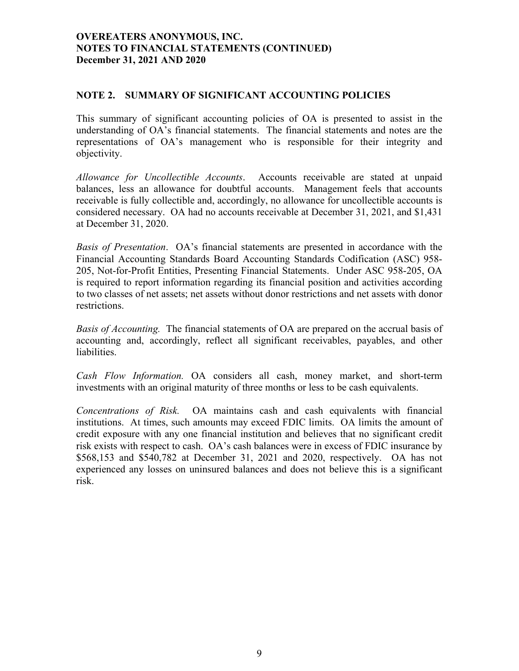#### **NOTE 2. SUMMARY OF SIGNIFICANT ACCOUNTING POLICIES**

This summary of significant accounting policies of OA is presented to assist in the understanding of OA's financial statements. The financial statements and notes are the representations of OA's management who is responsible for their integrity and objectivity.

*Allowance for Uncollectible Accounts*. Accounts receivable are stated at unpaid balances, less an allowance for doubtful accounts. Management feels that accounts receivable is fully collectible and, accordingly, no allowance for uncollectible accounts is considered necessary. OA had no accounts receivable at December 31, 2021, and \$1,431 at December 31, 2020.

*Basis of Presentation*. OA's financial statements are presented in accordance with the Financial Accounting Standards Board Accounting Standards Codification (ASC) 958- 205, Not-for-Profit Entities, Presenting Financial Statements. Under ASC 958-205, OA is required to report information regarding its financial position and activities according to two classes of net assets; net assets without donor restrictions and net assets with donor restrictions.

*Basis of Accounting.* The financial statements of OA are prepared on the accrual basis of accounting and, accordingly, reflect all significant receivables, payables, and other liabilities.

*Cash Flow Information.* OA considers all cash, money market, and short-term investments with an original maturity of three months or less to be cash equivalents.

*Concentrations of Risk.* OA maintains cash and cash equivalents with financial institutions. At times, such amounts may exceed FDIC limits. OA limits the amount of credit exposure with any one financial institution and believes that no significant credit risk exists with respect to cash. OA's cash balances were in excess of FDIC insurance by \$568,153 and \$540,782 at December 31, 2021 and 2020, respectively. OA has not experienced any losses on uninsured balances and does not believe this is a significant risk.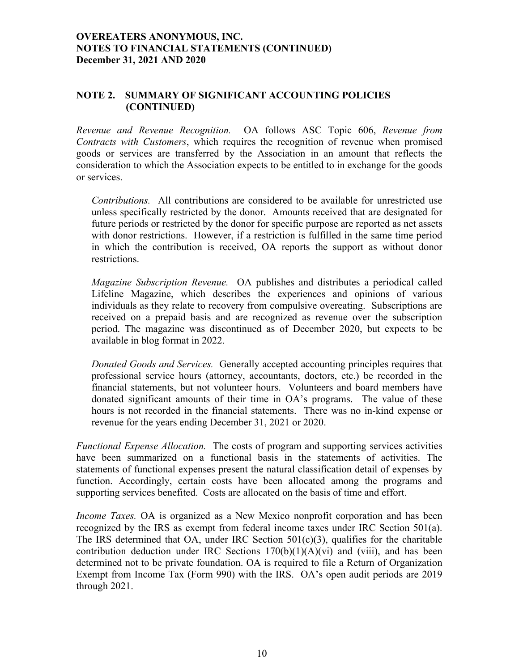#### **NOTE 2. SUMMARY OF SIGNIFICANT ACCOUNTING POLICIES (CONTINUED)**

*Revenue and Revenue Recognition.* OA follows ASC Topic 606, *Revenue from Contracts with Customers*, which requires the recognition of revenue when promised goods or services are transferred by the Association in an amount that reflects the consideration to which the Association expects to be entitled to in exchange for the goods or services.

*Contributions.* All contributions are considered to be available for unrestricted use unless specifically restricted by the donor. Amounts received that are designated for future periods or restricted by the donor for specific purpose are reported as net assets with donor restrictions. However, if a restriction is fulfilled in the same time period in which the contribution is received, OA reports the support as without donor restrictions.

*Magazine Subscription Revenue.* OA publishes and distributes a periodical called Lifeline Magazine, which describes the experiences and opinions of various individuals as they relate to recovery from compulsive overeating. Subscriptions are received on a prepaid basis and are recognized as revenue over the subscription period. The magazine was discontinued as of December 2020, but expects to be available in blog format in 2022.

*Donated Goods and Services.* Generally accepted accounting principles requires that professional service hours (attorney, accountants, doctors, etc.) be recorded in the financial statements, but not volunteer hours. Volunteers and board members have donated significant amounts of their time in OA's programs. The value of these hours is not recorded in the financial statements. There was no in-kind expense or revenue for the years ending December 31, 2021 or 2020.

*Functional Expense Allocation.* The costs of program and supporting services activities have been summarized on a functional basis in the statements of activities. The statements of functional expenses present the natural classification detail of expenses by function. Accordingly, certain costs have been allocated among the programs and supporting services benefited. Costs are allocated on the basis of time and effort.

*Income Taxes.* OA is organized as a New Mexico nonprofit corporation and has been recognized by the IRS as exempt from federal income taxes under IRC Section 501(a). The IRS determined that OA, under IRC Section  $501(c)(3)$ , qualifies for the charitable contribution deduction under IRC Sections  $170(b)(1)(A)(vi)$  and  $(viii)$ , and has been determined not to be private foundation. OA is required to file a Return of Organization Exempt from Income Tax (Form 990) with the IRS. OA's open audit periods are 2019 through 2021.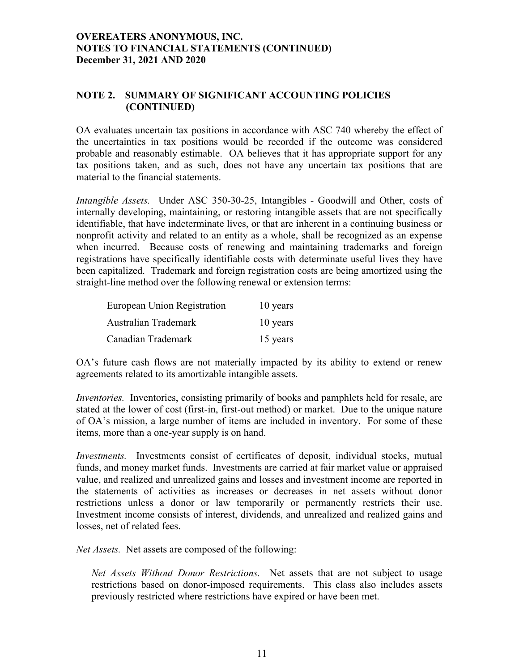#### **NOTE 2. SUMMARY OF SIGNIFICANT ACCOUNTING POLICIES (CONTINUED)**

OA evaluates uncertain tax positions in accordance with ASC 740 whereby the effect of the uncertainties in tax positions would be recorded if the outcome was considered probable and reasonably estimable. OA believes that it has appropriate support for any tax positions taken, and as such, does not have any uncertain tax positions that are material to the financial statements.

*Intangible Assets.* Under ASC 350-30-25, Intangibles - Goodwill and Other, costs of internally developing, maintaining, or restoring intangible assets that are not specifically identifiable, that have indeterminate lives, or that are inherent in a continuing business or nonprofit activity and related to an entity as a whole, shall be recognized as an expense when incurred. Because costs of renewing and maintaining trademarks and foreign registrations have specifically identifiable costs with determinate useful lives they have been capitalized. Trademark and foreign registration costs are being amortized using the straight-line method over the following renewal or extension terms:

| European Union Registration | 10 years |
|-----------------------------|----------|
| Australian Trademark        | 10 years |
| Canadian Trademark          | 15 years |

OA's future cash flows are not materially impacted by its ability to extend or renew agreements related to its amortizable intangible assets.

*Inventories.* Inventories, consisting primarily of books and pamphlets held for resale, are stated at the lower of cost (first-in, first-out method) or market. Due to the unique nature of OA's mission, a large number of items are included in inventory. For some of these items, more than a one-year supply is on hand.

*Investments.* Investments consist of certificates of deposit, individual stocks, mutual funds, and money market funds. Investments are carried at fair market value or appraised value, and realized and unrealized gains and losses and investment income are reported in the statements of activities as increases or decreases in net assets without donor restrictions unless a donor or law temporarily or permanently restricts their use. Investment income consists of interest, dividends, and unrealized and realized gains and losses, net of related fees.

*Net Assets.* Net assets are composed of the following:

*Net Assets Without Donor Restrictions.* Net assets that are not subject to usage restrictions based on donor-imposed requirements. This class also includes assets previously restricted where restrictions have expired or have been met.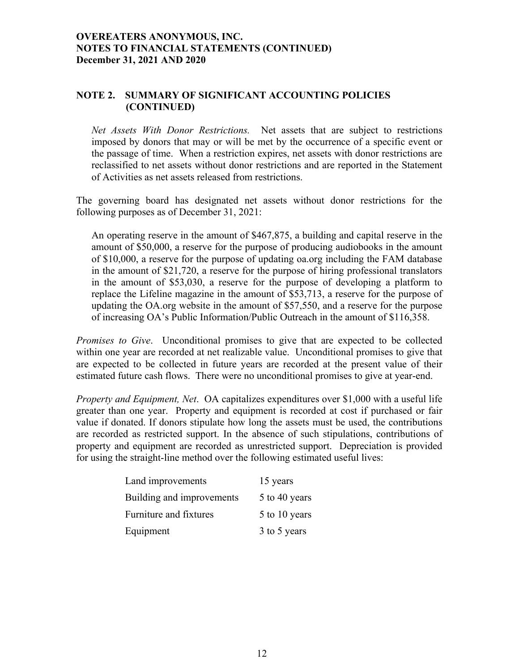#### **NOTE 2. SUMMARY OF SIGNIFICANT ACCOUNTING POLICIES (CONTINUED)**

*Net Assets With Donor Restrictions.* Net assets that are subject to restrictions imposed by donors that may or will be met by the occurrence of a specific event or the passage of time. When a restriction expires, net assets with donor restrictions are reclassified to net assets without donor restrictions and are reported in the Statement of Activities as net assets released from restrictions.

The governing board has designated net assets without donor restrictions for the following purposes as of December 31, 2021:

An operating reserve in the amount of \$467,875, a building and capital reserve in the amount of \$50,000, a reserve for the purpose of producing audiobooks in the amount of \$10,000, a reserve for the purpose of updating oa.org including the FAM database in the amount of \$21,720, a reserve for the purpose of hiring professional translators in the amount of \$53,030, a reserve for the purpose of developing a platform to replace the Lifeline magazine in the amount of \$53,713, a reserve for the purpose of updating the OA.org website in the amount of \$57,550, and a reserve for the purpose of increasing OA's Public Information/Public Outreach in the amount of \$116,358.

*Promises to Give*. Unconditional promises to give that are expected to be collected within one year are recorded at net realizable value. Unconditional promises to give that are expected to be collected in future years are recorded at the present value of their estimated future cash flows. There were no unconditional promises to give at year-end.

*Property and Equipment, Net*. OA capitalizes expenditures over \$1,000 with a useful life greater than one year. Property and equipment is recorded at cost if purchased or fair value if donated. If donors stipulate how long the assets must be used, the contributions are recorded as restricted support. In the absence of such stipulations, contributions of property and equipment are recorded as unrestricted support. Depreciation is provided for using the straight-line method over the following estimated useful lives:

| Land improvements         | 15 years      |
|---------------------------|---------------|
| Building and improvements | 5 to 40 years |
| Furniture and fixtures    | 5 to 10 years |
| Equipment                 | 3 to 5 years  |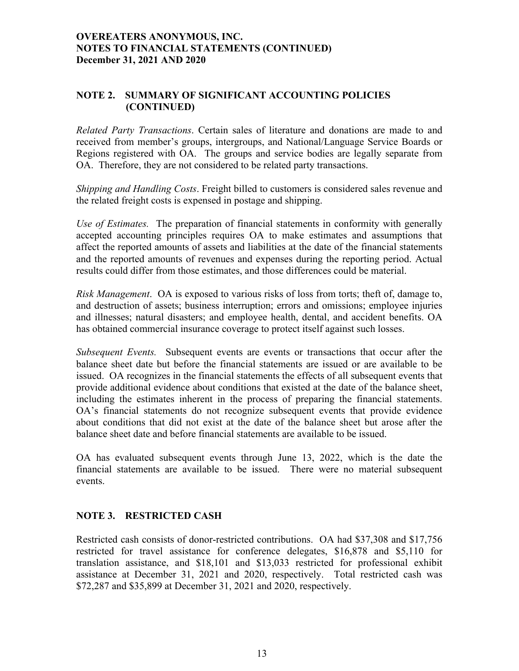#### **NOTE 2. SUMMARY OF SIGNIFICANT ACCOUNTING POLICIES (CONTINUED)**

*Related Party Transactions*. Certain sales of literature and donations are made to and received from member's groups, intergroups, and National/Language Service Boards or Regions registered with OA. The groups and service bodies are legally separate from OA. Therefore, they are not considered to be related party transactions.

*Shipping and Handling Costs*. Freight billed to customers is considered sales revenue and the related freight costs is expensed in postage and shipping.

*Use of Estimates.* The preparation of financial statements in conformity with generally accepted accounting principles requires OA to make estimates and assumptions that affect the reported amounts of assets and liabilities at the date of the financial statements and the reported amounts of revenues and expenses during the reporting period. Actual results could differ from those estimates, and those differences could be material.

*Risk Management*. OA is exposed to various risks of loss from torts; theft of, damage to, and destruction of assets; business interruption; errors and omissions; employee injuries and illnesses; natural disasters; and employee health, dental, and accident benefits. OA has obtained commercial insurance coverage to protect itself against such losses.

*Subsequent Events.* Subsequent events are events or transactions that occur after the balance sheet date but before the financial statements are issued or are available to be issued. OA recognizes in the financial statements the effects of all subsequent events that provide additional evidence about conditions that existed at the date of the balance sheet, including the estimates inherent in the process of preparing the financial statements. OA's financial statements do not recognize subsequent events that provide evidence about conditions that did not exist at the date of the balance sheet but arose after the balance sheet date and before financial statements are available to be issued.

OA has evaluated subsequent events through June 13, 2022, which is the date the financial statements are available to be issued. There were no material subsequent events.

#### **NOTE 3. RESTRICTED CASH**

Restricted cash consists of donor-restricted contributions. OA had \$37,308 and \$17,756 restricted for travel assistance for conference delegates, \$16,878 and \$5,110 for translation assistance, and \$18,101 and \$13,033 restricted for professional exhibit assistance at December 31, 2021 and 2020, respectively. Total restricted cash was \$72,287 and \$35,899 at December 31, 2021 and 2020, respectively.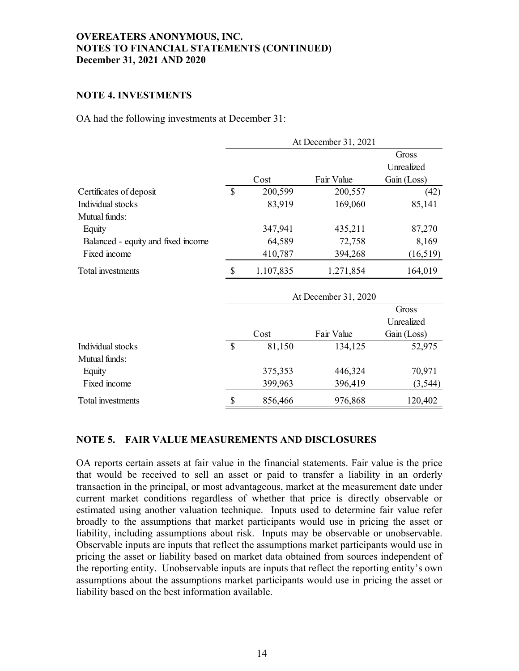#### **NOTE 4. INVESTMENTS**

OA had the following investments at December 31:

|                                    | At December 31, 2021 |           |                      |             |  |  |
|------------------------------------|----------------------|-----------|----------------------|-------------|--|--|
|                                    |                      |           |                      | Gross       |  |  |
|                                    |                      |           |                      | Unrealized  |  |  |
|                                    |                      | Cost      | Fair Value           | Gain (Loss) |  |  |
| Certificates of deposit            | $\mathbf S$          | 200,599   | 200,557              | (42)        |  |  |
| Individual stocks                  |                      | 83,919    | 169,060              | 85,141      |  |  |
| Mutual funds:                      |                      |           |                      |             |  |  |
| Equity                             |                      | 347,941   | 435,211              | 87,270      |  |  |
| Balanced - equity and fixed income |                      | 64,589    | 72,758               | 8,169       |  |  |
| Fixed income                       |                      | 410,787   | 394,268              | (16, 519)   |  |  |
| Total investments                  | $\mathcal{S}$        | 1,107,835 | 1,271,854            | 164,019     |  |  |
|                                    |                      |           | At December 31, 2020 |             |  |  |
|                                    |                      |           |                      | Gross       |  |  |
|                                    |                      |           |                      | Unrealized  |  |  |
|                                    |                      | Cost      | Fair Value           | Gain (Loss) |  |  |
| Individual stocks                  | $\mathbf S$          | 81,150    | 134,125              | 52,975      |  |  |
| Mutual funds:                      |                      |           |                      |             |  |  |
| Equity                             |                      | 375,353   | 446,324              | 70,971      |  |  |
| Fixed income                       |                      | 399,963   | 396,419              | (3, 544)    |  |  |
| Total investments                  | \$                   | 856,466   | 976,868              | 120,402     |  |  |

#### **NOTE 5. FAIR VALUE MEASUREMENTS AND DISCLOSURES**

OA reports certain assets at fair value in the financial statements. Fair value is the price that would be received to sell an asset or paid to transfer a liability in an orderly transaction in the principal, or most advantageous, market at the measurement date under current market conditions regardless of whether that price is directly observable or estimated using another valuation technique. Inputs used to determine fair value refer broadly to the assumptions that market participants would use in pricing the asset or liability, including assumptions about risk. Inputs may be observable or unobservable. Observable inputs are inputs that reflect the assumptions market participants would use in pricing the asset or liability based on market data obtained from sources independent of the reporting entity. Unobservable inputs are inputs that reflect the reporting entity's own assumptions about the assumptions market participants would use in pricing the asset or liability based on the best information available.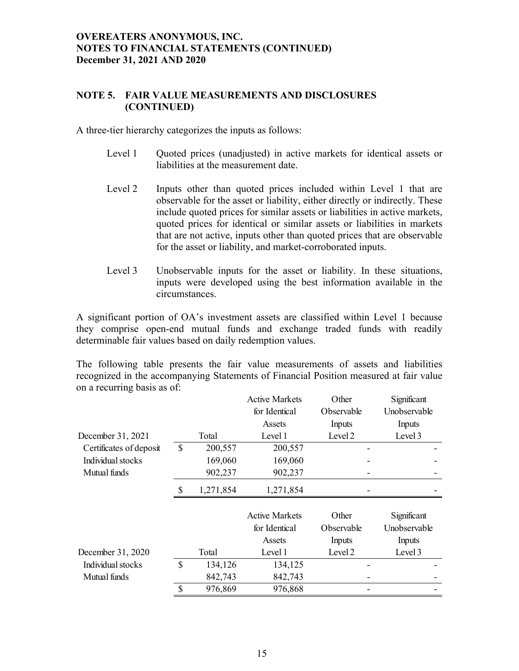#### **NOTE 5. FAIR VALUE MEASUREMENTS AND DISCLOSURES (CONTINUED)**

A three-tier hierarchy categorizes the inputs as follows:

- Level 1 Quoted prices (unadjusted) in active markets for identical assets or liabilities at the measurement date.
- Level 2 Inputs other than quoted prices included within Level 1 that are observable for the asset or liability, either directly or indirectly. These include quoted prices for similar assets or liabilities in active markets, quoted prices for identical or similar assets or liabilities in markets that are not active, inputs other than quoted prices that are observable for the asset or liability, and market-corroborated inputs.
- Level 3 Unobservable inputs for the asset or liability. In these situations, inputs were developed using the best information available in the circumstances.

A significant portion of OA's investment assets are classified within Level 1 because they comprise open-end mutual funds and exchange traded funds with readily determinable fair values based on daily redemption values.

The following table presents the fair value measurements of assets and liabilities recognized in the accompanying Statements of Financial Position measured at fair value on a recurring basis as of:

|                         |             |           | <b>Active Markets</b> | Other      | Significant  |
|-------------------------|-------------|-----------|-----------------------|------------|--------------|
|                         |             |           | for Identical         | Observable | Unobservable |
|                         |             |           | Assets                | Inputs     | Inputs       |
| December 31, 2021       |             | Total     | Level 1               | Level 2    | Level 3      |
| Certificates of deposit | \$          | 200,557   | 200,557               |            |              |
| Individual stocks       |             | 169,060   | 169,060               |            |              |
| Mutual funds            |             | 902,237   | 902,237               |            |              |
|                         |             | 1,271,854 | 1,271,854             |            |              |
|                         |             |           |                       |            |              |
|                         |             |           | <b>Active Markets</b> | Other      | Significant  |
|                         |             |           | for Identical         | Observable | Unobservable |
|                         |             |           | Assets                | Inputs     | Inputs       |
| December 31, 2020       |             | Total     | Level 1               | Level 2    | Level 3      |
| Individual stocks       | $\mathbf S$ | 134,126   | 134,125               |            |              |
| Mutual funds            |             | 842,743   | 842,743               |            |              |
|                         | \$          | 976,869   | 976,868               |            |              |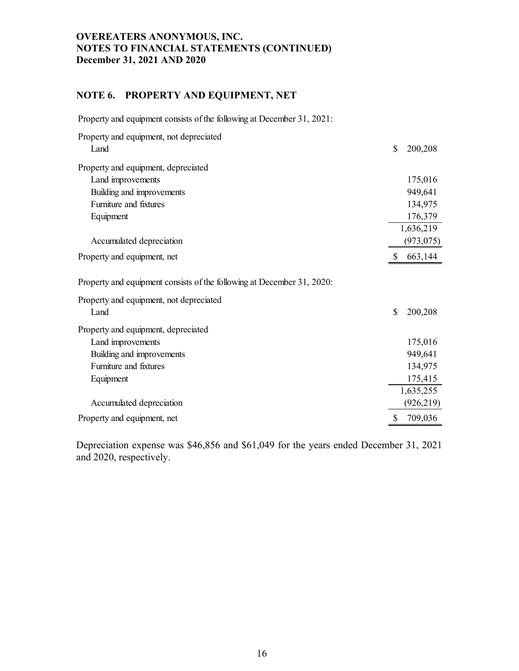#### **NOTE 6. PROPERTY AND EQUIPMENT, NET**

Property and equipment consists of the following at December 31, 2021:

| Property and equipment, not depreciated                                |    |            |
|------------------------------------------------------------------------|----|------------|
| Land                                                                   | \$ | 200,208    |
| Property and equipment, depreciated                                    |    |            |
| Land improvements                                                      |    | 175,016    |
| Building and improvements                                              |    | 949,641    |
| Furniture and fixtures                                                 |    | 134,975    |
| Equipment                                                              |    | 176,379    |
|                                                                        |    | 1,636,219  |
| Accumulated depreciation                                               |    | (973, 075) |
| Property and equipment, net                                            | S  | 663,144    |
| Property and equipment consists of the following at December 31, 2020: |    |            |
| Property and equipment, not depreciated                                |    |            |
| Land                                                                   | \$ | 200,208    |
| Property and equipment, depreciated                                    |    |            |
| Land improvements                                                      |    | 175,016    |
| Building and improvements                                              |    | 949,641    |
| Furniture and fixtures                                                 |    | 134,975    |
| Equipment                                                              |    | 175,415    |
|                                                                        |    | 1,635,255  |
| Accumulated depreciation                                               |    | (926, 219) |
| Property and equipment, net                                            | \$ | 709,036    |

Depreciation expense was \$46,856 and \$61,049 for the years ended December 31, 2021 and 2020, respectively.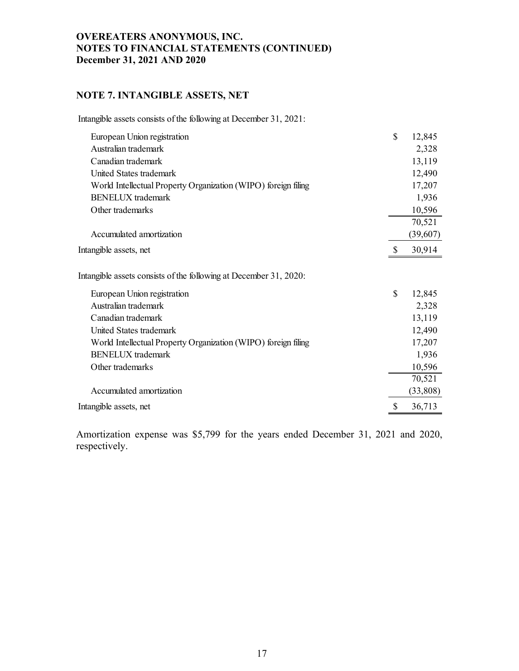#### **NOTE 7. INTANGIBLE ASSETS, NET**

Intangible assets consists of the following at December 31, 2021:

| European Union registration                                       | $\mathcal{S}$ | 12,845   |
|-------------------------------------------------------------------|---------------|----------|
| Australian trademark                                              |               | 2,328    |
| Canadian trademark                                                |               | 13,119   |
| United States trademark                                           |               | 12,490   |
| World Intellectual Property Organization (WIPO) foreign filing    |               | 17,207   |
| <b>BENELUX</b> trademark                                          |               | 1,936    |
| Other trademarks                                                  |               | 10,596   |
|                                                                   |               | 70,521   |
| Accumulated amortization                                          |               | (39,607) |
| Intangible assets, net                                            | \$            | 30,914   |
| Intangible assets consists of the following at December 31, 2020: |               |          |
| European Union registration                                       | $\mathbf S$   | 12,845   |
| Australian trademark                                              |               | 2,328    |
| Canadian trademark                                                |               | 13,119   |
| United States trademark                                           |               | 12,490   |
| World Intellectual Property Organization (WIPO) foreign filing    |               | 17,207   |
| <b>BENELUX</b> trademark                                          |               | 1,936    |
| Other trademarks                                                  |               | 10,596   |
|                                                                   |               | 70,521   |
| Accumulated amortization                                          |               | (33,808) |
| Intangible assets, net                                            | \$            | 36,713   |

Amortization expense was \$5,799 for the years ended December 31, 2021 and 2020, respectively.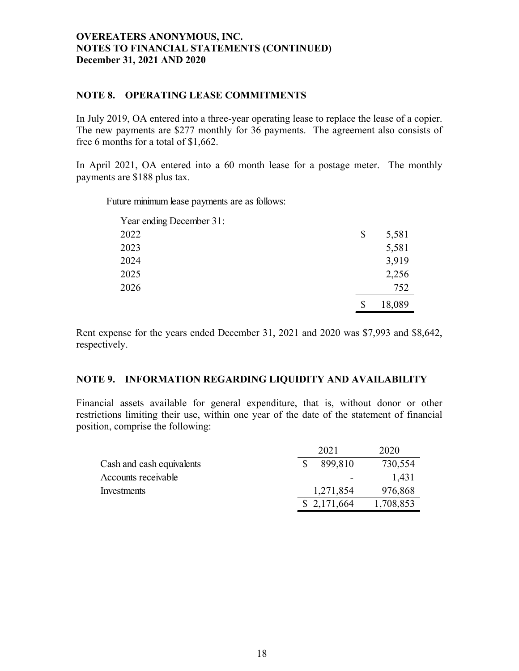#### **NOTE 8. OPERATING LEASE COMMITMENTS**

In July 2019, OA entered into a three-year operating lease to replace the lease of a copier. The new payments are \$277 monthly for 36 payments. The agreement also consists of free 6 months for a total of \$1,662.

In April 2021, OA entered into a 60 month lease for a postage meter. The monthly payments are \$188 plus tax.

Future minimum lease payments are as follows:

| Year ending December 31: |              |
|--------------------------|--------------|
| 2022                     | \$<br>5,581  |
| 2023                     | 5,581        |
| 2024                     | 3,919        |
| 2025                     | 2,256        |
| 2026                     | 752          |
|                          | \$<br>18,089 |

Rent expense for the years ended December 31, 2021 and 2020 was \$7,993 and \$8,642, respectively.

#### **NOTE 9. INFORMATION REGARDING LIQUIDITY AND AVAILABILITY**

Financial assets available for general expenditure, that is, without donor or other restrictions limiting their use, within one year of the date of the statement of financial position, comprise the following:

|                           | 2021        | 2020      |
|---------------------------|-------------|-----------|
| Cash and cash equivalents | 899,810     | 730,554   |
| Accounts receivable       | -           | 1,431     |
| Investments               | 1,271,854   | 976,868   |
|                           | \$2,171,664 | 1,708,853 |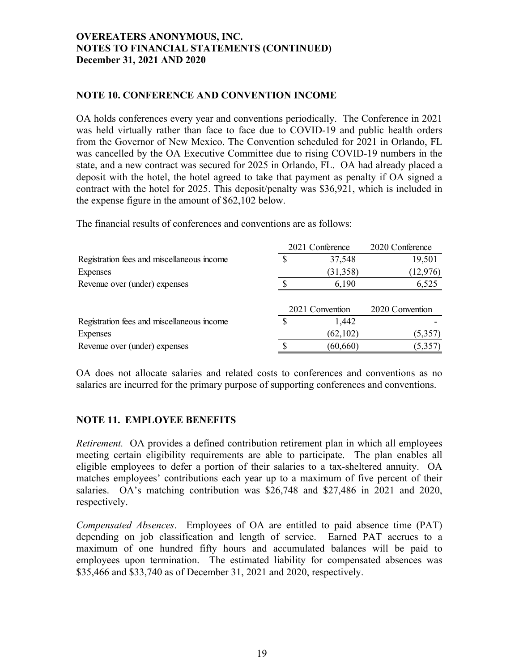#### **NOTE 10. CONFERENCE AND CONVENTION INCOME**

OA holds conferences every year and conventions periodically. The Conference in 2021 was held virtually rather than face to face due to COVID-19 and public health orders from the Governor of New Mexico. The Convention scheduled for 2021 in Orlando, FL was cancelled by the OA Executive Committee due to rising COVID-19 numbers in the state, and a new contract was secured for 2025 in Orlando, FL. OA had already placed a deposit with the hotel, the hotel agreed to take that payment as penalty if OA signed a contract with the hotel for 2025. This deposit/penalty was \$36,921, which is included in the expense figure in the amount of \$62,102 below.

The financial results of conferences and conventions are as follows:

|                                            | 2021 Conference |           | 2020 Conference |
|--------------------------------------------|-----------------|-----------|-----------------|
| Registration fees and miscellaneous income |                 | 37,548    | 19,501          |
| <b>Expenses</b>                            |                 | (31,358)  | (12, 976)       |
| Revenue over (under) expenses              |                 | 6,190     | 6,525           |
|                                            |                 |           |                 |
|                                            | 2021 Convention |           | 2020 Convention |
| Registration fees and miscellaneous income |                 | 1,442     |                 |
| <b>Expenses</b>                            |                 | (62, 102) | (5,357)         |
| Revenue over (under) expenses              |                 | (60, 660) | (5,357)         |

OA does not allocate salaries and related costs to conferences and conventions as no salaries are incurred for the primary purpose of supporting conferences and conventions.

#### **NOTE 11. EMPLOYEE BENEFITS**

*Retirement.* OA provides a defined contribution retirement plan in which all employees meeting certain eligibility requirements are able to participate. The plan enables all eligible employees to defer a portion of their salaries to a tax-sheltered annuity. OA matches employees' contributions each year up to a maximum of five percent of their salaries. OA's matching contribution was \$26,748 and \$27,486 in 2021 and 2020, respectively.

*Compensated Absences*. Employees of OA are entitled to paid absence time (PAT) depending on job classification and length of service. Earned PAT accrues to a maximum of one hundred fifty hours and accumulated balances will be paid to employees upon termination. The estimated liability for compensated absences was \$35,466 and \$33,740 as of December 31, 2021 and 2020, respectively.